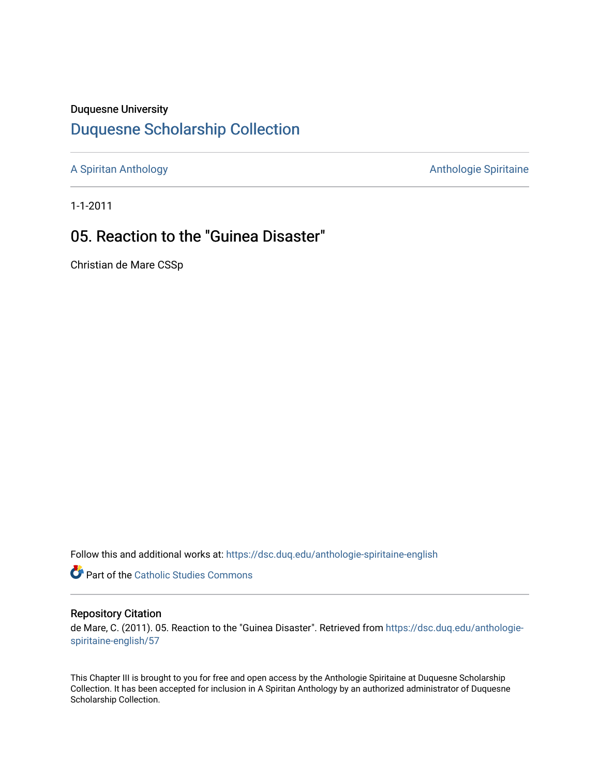#### Duquesne University

## [Duquesne Scholarship Collection](https://dsc.duq.edu/)

[A Spiritan Anthology](https://dsc.duq.edu/anthologie-spiritaine-english) **Anthology** Anthologie Spiritaine

1-1-2011

# 05. Reaction to the "Guinea Disaster"

Christian de Mare CSSp

Follow this and additional works at: [https://dsc.duq.edu/anthologie-spiritaine-english](https://dsc.duq.edu/anthologie-spiritaine-english?utm_source=dsc.duq.edu%2Fanthologie-spiritaine-english%2F57&utm_medium=PDF&utm_campaign=PDFCoverPages)

Part of the [Catholic Studies Commons](http://network.bepress.com/hgg/discipline/1294?utm_source=dsc.duq.edu%2Fanthologie-spiritaine-english%2F57&utm_medium=PDF&utm_campaign=PDFCoverPages)

#### Repository Citation

de Mare, C. (2011). 05. Reaction to the "Guinea Disaster". Retrieved from [https://dsc.duq.edu/anthologie](https://dsc.duq.edu/anthologie-spiritaine-english/57?utm_source=dsc.duq.edu%2Fanthologie-spiritaine-english%2F57&utm_medium=PDF&utm_campaign=PDFCoverPages)[spiritaine-english/57](https://dsc.duq.edu/anthologie-spiritaine-english/57?utm_source=dsc.duq.edu%2Fanthologie-spiritaine-english%2F57&utm_medium=PDF&utm_campaign=PDFCoverPages) 

This Chapter III is brought to you for free and open access by the Anthologie Spiritaine at Duquesne Scholarship Collection. It has been accepted for inclusion in A Spiritan Anthology by an authorized administrator of Duquesne Scholarship Collection.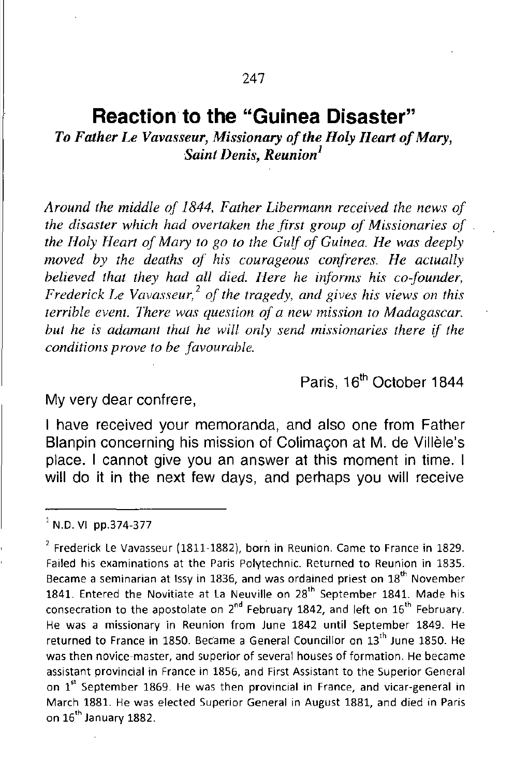### **Reaction to the "Guinea Disaster"**

*To Father Le Vavasseur, Missionary ofthe Holy Heart ofMary, Saint Denis, Reunion<sup>l</sup>*

*Around the middle of* 1844, *Father Libermann received the news of the disaster which had overtaken the first group of Missionaries of the Holy Heart of Mary to go to the Gulf of Guinea. He was deeply moved by the deaths of his courageous confreres. He actually believed that they had all died. Here he informs his co-founder, Frederick Le Vavasseur*,<sup>2</sup> of the *tragedy*, and *gives his views* on *this terrible event. There was question of a new mission to Madagascar. but he* is *adamant that he will only send missionaries there if the conditions p rove to be favourable.*

Paris, 16<sup>th</sup> October 1844

My very dear confrere,

I have received your memoranda, and also one from Father Blanpin concerning his mission of Colimaçon at M. de Villèle's place. I cannot give you an answer at this moment in time. I will do it in the next few days, and perhaps you will receive

 $1$  N.D. VI pp.374-377

 $<sup>2</sup>$  Frederick Le Vavasseur (1811-1882), born in Reunion. Came to France in 1829.</sup> **Failed his examinations at the Paris Polytechnic. Returned to Reunion in 1835. Became a seminarian at lssy in 1836, and was ordained priest on 18th November** 1841. Entered the Novitiate at La Neuville on 28<sup>th</sup> September 1841. Made his **consecration to the apostolate on 2 nd February 1842, and left on <sup>16</sup>th February.** He was a missionary in Reunion from June 1842 until September 1849. He **returned to France in 1850. BeCame a General Councillor on 13th June 1850. He was then novice-master, and superior of several houses of formation. He became assistant prOVincial in France in 1856, and First Assistant to the Superior General on** lSI **September 1869. He was then provincial in France, and vicar-general in** March 1881. He was elected Superior General in August 1881, and died in Paris on 16" January 1882.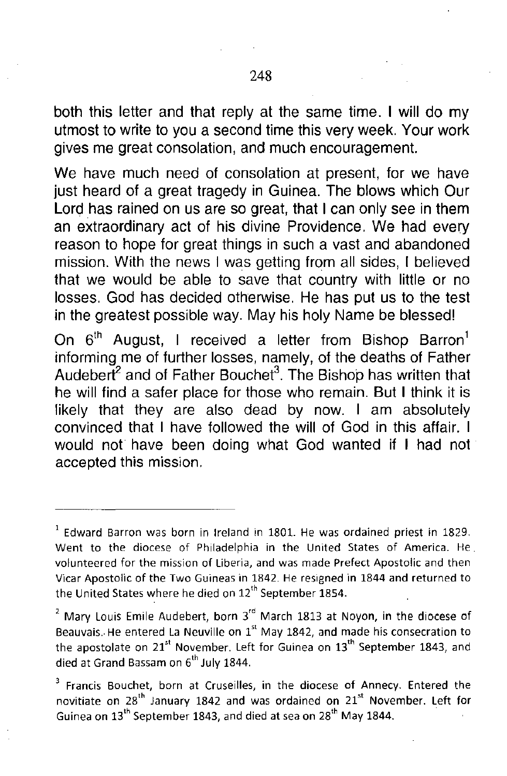both this letter and that reply at the same time. I will do my utmost to write to you a second time this very week. Your work gives me great consolation, and much encouragement.

We have much need of consolation at present, for we have just heard of a great tragedy in Guinea. The blows which Our Lord has rained on us are so great, that I can only see in them an extraordinary act of his divine Providence. We had every reason to hope for great things in such a vast and abandoned mission. With the news I was getting from all sides, I believed that we would be able to save that country with little or no losses. God has decided otherwise. He has put us to the test in the greatest possible way. May his holy Name be blessed!

On  $6<sup>th</sup>$  August, I received a letter from Bishop Barron<sup>1</sup> informing me of further losses, namely, of the deaths of Father Audebert<sup>2</sup> and of Father Bouchet<sup>3</sup>. The Bishop has written that he will find a safer place for those who remain. But I think it is likely that they are also dead by now. I am absolutely convinced that I have followed the will of God in this affair. I would not have been doing what God wanted if I had not accepted this mission.

**<sup>1</sup> Edward Barron was born in Ireland in 1801. He was ordained priest in 1829.** Went to the diocese of Philadelphia in the United States of America. He **volunteered for the mission of Liberia, and was made Prefect Apostolic and then Vkar Apostolic of the Two Guineas in 1842. He resigned in 1844 and returned to** the United States where he died on 12<sup>th</sup> September 1854.

 $<sup>2</sup>$  Mary Louis Emile Audebert, born 3 $<sup>rd</sup>$  March 1813 at Noyon, in the diocese of</sup></sup> **Beauvais.. He entered La Neuville on 1 st May 1842, and made his consecration to** the apostolate on  $21^{st}$  November. Left for Guinea on  $13^{th}$  September 1843, and died at Grand Bassam on 6<sup>th</sup> July 1844.

<sup>3</sup> **Francis Bouchet, born at Cruseilles, in the diocese of Annecy. Entered the novitiate on 28th January 1842 and was ordained on <sup>21</sup>st November. Left for** Guinea on 13'" September 1843, and died at sea on 28'" May 1844.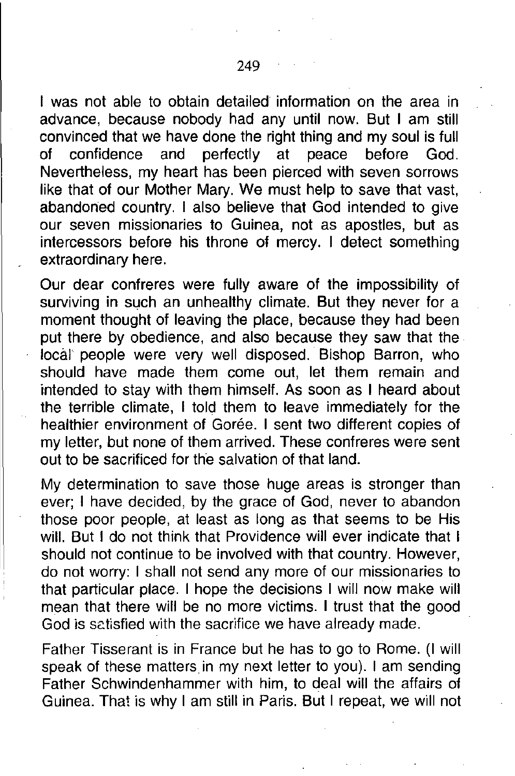I was not able to obtain detailed information on the area in advance, because nobody had any until now. But I am still convinced that we have done the right thing and my soul is full of confidence and perfectly at peace before God. Nevertheless, my heart has been pierced with seven sorrows like that of our Mother Mary. We must help to save that vast, abandoned country. I also believe that God intended to give our seven missionaries to Guinea, not as apostles, but as intercessors before his throne of mercy. I detect something extraordinary here.

Our dear confreres were fully aware of the impossibility of surviving in such an unhealthy climate. But they never for a moment thought of leaving the place, because they had been put there by obedience, and also because they saw that the· local people were very well disposed. Bishop Barron, who should have made them come out, let them remain and intended to stay with them himself. As soon as I heard about the terrible climate, I told them to leave immediately for the healthier environment of Gorée. I sent two different copies of my letter, but none of them arrived. These confreres were sent out to be sacrificed for the salvation of that land.

My determination to save those huge areas is stronger than ever; I have decided, by the grace of God, never to abandon those poor people, at least as long as that seems to be His will. But I do not think that Providence will ever indicate that I should not continue to be involved with that country. However, do not worry: I shall not send any more of our missionaries to that particular place. I hope the decisions I will now make will mean that there will be no more victims. I trust that the good God is satisfied with the sacrifice we have already made.

Father Tisserant is in France but he has to go to Rome. (I will speak of these matters in my next letter to you). I am sending Father Schwindenhammer with him, to deal will the affairs of Guinea. That is why I am still in Paris. But I repeat, we will not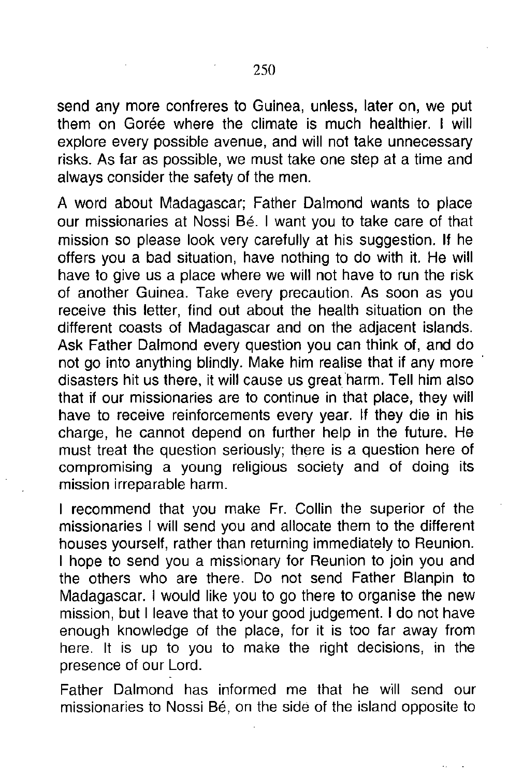send any more confreres to Guinea, unless, later on, we put them on Gorée where the climate is much healthier. I will explore every possible avenue, and will not take unnecessary risks. As far as possible, we must take one step at a time and always consider the safety of the men.

A word about Madagascar; Father Dalmond wants to place our missionaries at Nossi Bé. I want you to take care of that mission so please look very carefully at his suggestion. If he offers you a bad situation, have nothing to do with it. He will have to give us a place where we will not have to run the risk of another Guinea. Take every precaution. As soon as you receive this letter, find out about the health situation on the different coasts of Madagascar and on the adjacent islands. Ask Father Dalmond every question you can think of, and do not go into anything blindly. Make him realise that if any more disasters hit us there, it will cause us great harm. Tell him also that if our missionaries are to continue in that place, they will have to receive reinforcements every year. If they die in his charge, he cannot depend on further help in the future. He must treat the question seriously; there is a question here of compromising a young religious society and of doing its mission irreparable harm.

I recommend that you make Fr. Collin the superior of the missionaries I will send you and allocate them to the different houses yourself, rather than returning immediately to Reunion. I hope to send you a missionary for Reunion to join you and the others who are there. Do not send Father Blanpin to Madagascar. I would like you to go there to organise the new mission, but I leave that to your good judgement. I do not have enough knowledge of the place, for it is too far away from here. It is up to you to make the right decisions, in the presence of our Lord.

Father Dalmond has informed me that he will send our missionaries to Nossi Bé, on the side of the island opposite to